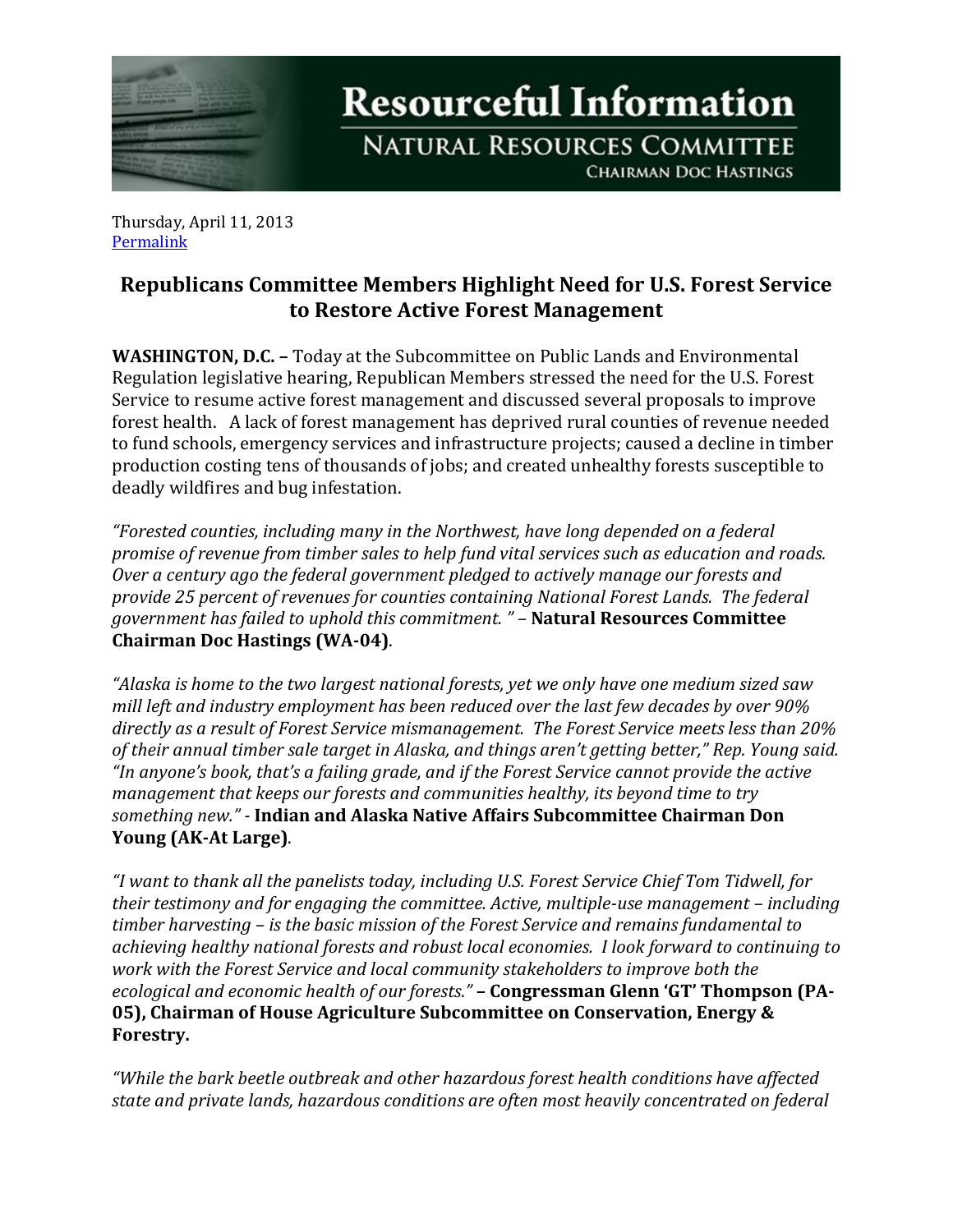

**Resourceful Information** 

**NATURAL RESOURCES COMMITTEE CHAIRMAN DOC HASTINGS** 

Thursday, April 11, 2013 [Permalink](http://naturalresources.house.gov/news/documentsingle.aspx?DocumentID=328568)

## **Republicans Committee Members Highlight Need for U.S. Forest Service to Restore Active Forest Management**

**WASHINGTON, D.C. –** Today at the Subcommittee on Public Lands and Environmental Regulation legislative hearing, Republican Members stressed the need for the U.S. Forest Service to resume active forest management and discussed several proposals to improve forest health. A lack of forest management has deprived rural counties of revenue needed to fund schools, emergency services and infrastructure projects; caused a decline in timber production costing tens of thousands of jobs; and created unhealthy forests susceptible to deadly wildfires and bug infestation.

*"Forested counties, including many in the Northwest, have long depended on a federal promise of revenue from timber sales to help fund vital services such as education and roads. Over a century ago the federal government pledged to actively manage our forests and provide 25 percent of revenues for counties containing National Forest Lands. The federal government has failed to uphold this commitment. " –* **Natural Resources Committee Chairman Doc Hastings (WA-04)**.

*"Alaska is home to the two largest national forests, yet we only have one medium sized saw mill left and industry employment has been reduced over the last few decades by over 90% directly as a result of Forest Service mismanagement. The Forest Service meets less than 20% of their annual timber sale target in Alaska, and things aren't getting better," Rep. Young said. "In anyone's book, that's a failing grade, and if the Forest Service cannot provide the active management that keeps our forests and communities healthy, its beyond time to try something new." -* **Indian and Alaska Native Affairs Subcommittee Chairman Don Young (AK-At Large)**.

*"I want to thank all the panelists today, including U.S. Forest Service Chief Tom Tidwell, for their testimony and for engaging the committee. Active, multiple-use management – including timber harvesting – is the basic mission of the Forest Service and remains fundamental to achieving healthy national forests and robust local economies. I look forward to continuing to work with the Forest Service and local community stakeholders to improve both the ecological and economic health of our forests."* **– Congressman Glenn 'GT' Thompson (PA-05), Chairman of House Agriculture Subcommittee on Conservation, Energy & Forestry.**

*"While the bark beetle outbreak and other hazardous forest health conditions have affected state and private lands, hazardous conditions are often most heavily concentrated on federal*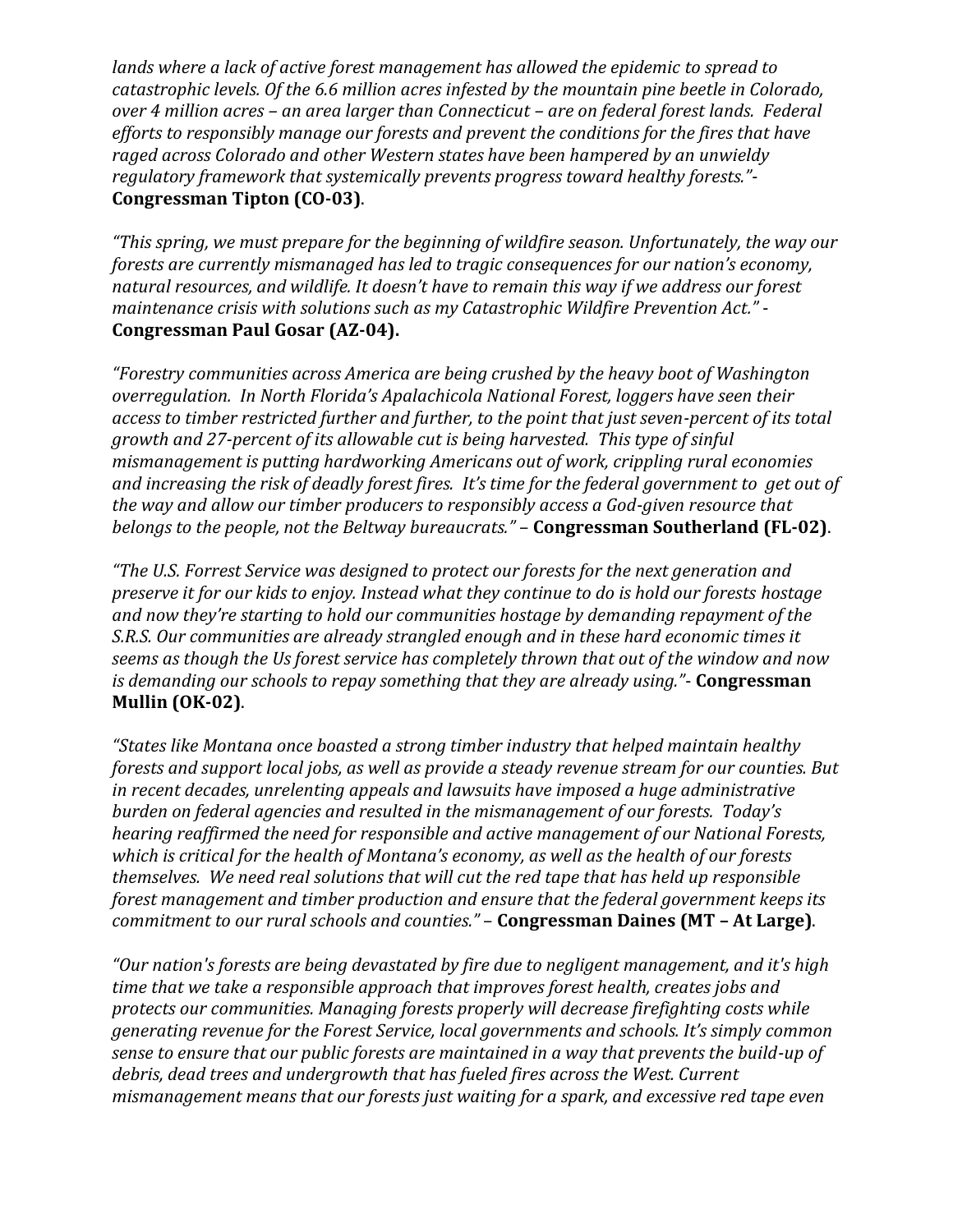*lands where a lack of active forest management has allowed the epidemic to spread to catastrophic levels. Of the 6.6 million acres infested by the mountain pine beetle in Colorado, over 4 million acres – an area larger than Connecticut – are on federal forest lands. Federal efforts to responsibly manage our forests and prevent the conditions for the fires that have raged across Colorado and other Western states have been hampered by an unwieldy regulatory framework that systemically prevents progress toward healthy forests."*- **Congressman Tipton (CO-03)**.

*"This spring, we must prepare for the beginning of wildfire season. Unfortunately, the way our forests are currently mismanaged has led to tragic consequences for our nation's economy, natural resources, and wildlife. It doesn't have to remain this way if we address our forest maintenance crisis with solutions such as my Catastrophic Wildfire Prevention Act."* - **Congressman Paul Gosar (AZ-04).**

*"Forestry communities across America are being crushed by the heavy boot of Washington overregulation. In North Florida's Apalachicola National Forest, loggers have seen their access to timber restricted further and further, to the point that just seven-percent of its total growth and 27-percent of its allowable cut is being harvested. This type of sinful mismanagement is putting hardworking Americans out of work, crippling rural economies and increasing the risk of deadly forest fires. It's time for the federal government to get out of the way and allow our timber producers to responsibly access a God-given resource that belongs to the people, not the Beltway bureaucrats."* – **Congressman Southerland (FL-02)**.

*"The U.S. Forrest Service was designed to protect our forests for the next generation and preserve it for our kids to enjoy. Instead what they continue to do is hold our forests hostage and now they're starting to hold our communities hostage by demanding repayment of the S.R.S. Our communities are already strangled enough and in these hard economic times it seems as though the Us forest service has completely thrown that out of the window and now is demanding our schools to repay something that they are already using."*- **Congressman Mullin (OK-02)**.

*"States like Montana once boasted a strong timber industry that helped maintain healthy forests and support local jobs, as well as provide a steady revenue stream for our counties. But in recent decades, unrelenting appeals and lawsuits have imposed a huge administrative burden on federal agencies and resulted in the mismanagement of our forests. Today's hearing reaffirmed the need for responsible and active management of our National Forests, which is critical for the health of Montana's economy, as well as the health of our forests themselves. We need real solutions that will cut the red tape that has held up responsible forest management and timber production and ensure that the federal government keeps its commitment to our rural schools and counties."* – **Congressman Daines (MT – At Large)**.

*"Our nation's forests are being devastated by fire due to negligent management, and it's high time that we take a responsible approach that improves forest health, creates jobs and protects our communities. Managing forests properly will decrease firefighting costs while generating revenue for the Forest Service, local governments and schools. It's simply common sense to ensure that our public forests are maintained in a way that prevents the build-up of debris, dead trees and undergrowth that has fueled fires across the West. Current mismanagement means that our forests just waiting for a spark, and excessive red tape even*